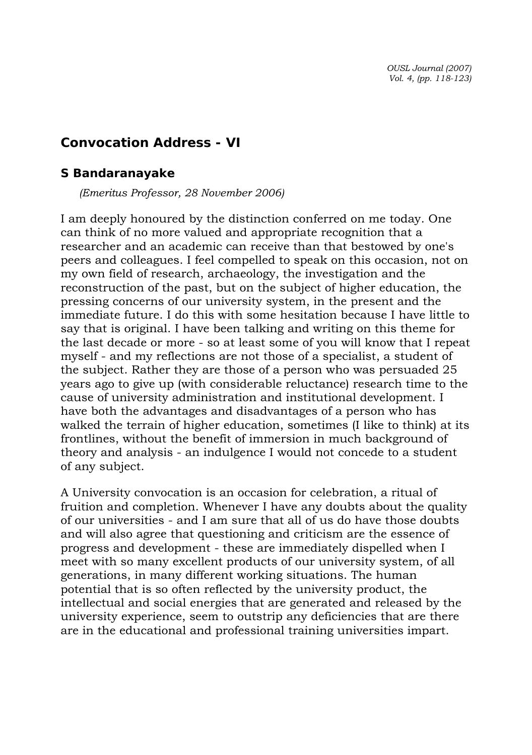*OUSL Journal (2007) Vol. 4, (pp. 118-123)* 

# **Convocation Address - VI**

#### *S Bandaranayake*

 *(Emeritus Professor, 28 November 2006)* 

I am deeply honoured by the distinction conferred on me today. One can think of no more valued and appropriate recognition that a researcher and an academic can receive than that bestowed by one's peers and colleagues. I feel compelled to speak on this occasion, not on my own field of research, archaeology, the investigation and the reconstruction of the past, but on the subject of higher education, the pressing concerns of our university system, in the present and the immediate future. I do this with some hesitation because I have little to say that is original. I have been talking and writing on this theme for the last decade or more - so at least some of you will know that I repeat myself - and my reflections are not those of a specialist, a student of the subject. Rather they are those of a person who was persuaded 25 years ago to give up (with considerable reluctance) research time to the cause of university administration and institutional development. I have both the advantages and disadvantages of a person who has walked the terrain of higher education, sometimes (I like to think) at its frontlines, without the benefit of immersion in much background of theory and analysis - an indulgence I would not concede to a student of any subject.

A University convocation is an occasion for celebration, a ritual of fruition and completion. Whenever I have any doubts about the quality of our universities - and I am sure that all of us do have those doubts and will also agree that questioning and criticism are the essence of progress and development - these are immediately dispelled when I meet with so many excellent products of our university system, of all generations, in many different working situations. The human potential that is so often reflected by the university product, the intellectual and social energies that are generated and released by the university experience, seem to outstrip any deficiencies that are there are in the educational and professional training universities impart.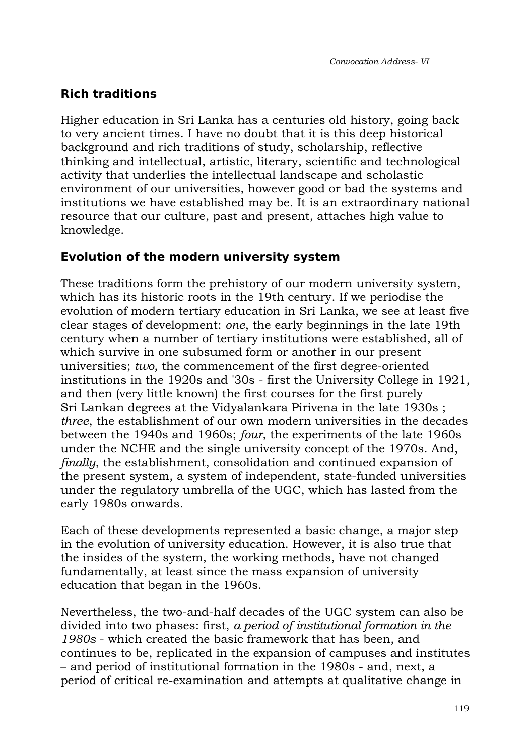# **Rich traditions**

Higher education in Sri Lanka has a centuries old history, going back to very ancient times. I have no doubt that it is this deep historical background and rich traditions of study, scholarship, reflective thinking and intellectual, artistic, literary, scientific and technological activity that underlies the intellectual landscape and scholastic environment of our universities, however good or bad the systems and institutions we have established may be. It is an extraordinary national resource that our culture, past and present, attaches high value to knowledge.

# **Evolution of the modern university system**

These traditions form the prehistory of our modern university system, which has its historic roots in the 19th century. If we periodise the evolution of modern tertiary education in Sri Lanka, we see at least five clear stages of development: *one*, the early beginnings in the late 19th century when a number of tertiary institutions were established, all of which survive in one subsumed form or another in our present universities; *two*, the commencement of the first degree-oriented institutions in the 1920s and '30s - first the University College in 1921, and then (very little known) the first courses for the first purely Sri Lankan degrees at the Vidyalankara Pirivena in the late 1930s ; *three*, the establishment of our own modern universities in the decades between the 1940s and 1960s; *four*, the experiments of the late 1960s under the NCHE and the single university concept of the 1970s. And, *finally*, the establishment, consolidation and continued expansion of the present system, a system of independent, state-funded universities under the regulatory umbrella of the UGC, which has lasted from the early 1980s onwards.

Each of these developments represented a basic change, a major step in the evolution of university education. However, it is also true that the insides of the system, the working methods, have not changed fundamentally, at least since the mass expansion of university education that began in the 1960s.

Nevertheless, the two-and-half decades of the UGC system can also be divided into two phases: first, *a period of institutional formation in the 1980s* - which created the basic framework that has been, and continues to be, replicated in the expansion of campuses and institutes – and period of institutional formation in the 1980s - and, next, a period of critical re-examination and attempts at qualitative change in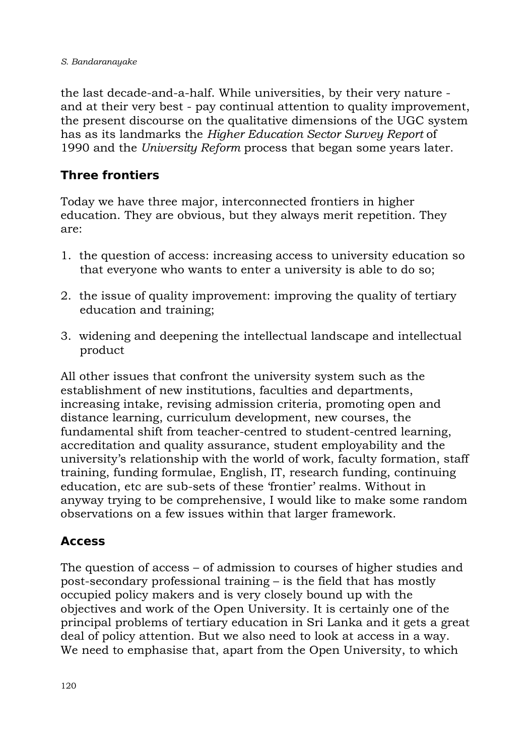the last decade-and-a-half. While universities, by their very nature and at their very best - pay continual attention to quality improvement, the present discourse on the qualitative dimensions of the UGC system has as its landmarks the *Higher Education Sector Survey Report* of 1990 and the *University Reform* process that began some years later.

# **Three frontiers**

Today we have three major, interconnected frontiers in higher education. They are obvious, but they always merit repetition. They are:

- 1. the question of access: increasing access to university education so that everyone who wants to enter a university is able to do so;
- 2. the issue of quality improvement: improving the quality of tertiary education and training;
- 3. widening and deepening the intellectual landscape and intellectual product

All other issues that confront the university system such as the establishment of new institutions, faculties and departments, increasing intake, revising admission criteria, promoting open and distance learning, curriculum development, new courses, the fundamental shift from teacher-centred to student-centred learning, accreditation and quality assurance, student employability and the university's relationship with the world of work, faculty formation, staff training, funding formulae, English, IT, research funding, continuing education, etc are sub-sets of these 'frontier' realms. Without in anyway trying to be comprehensive, I would like to make some random observations on a few issues within that larger framework.

# **Access**

The question of access – of admission to courses of higher studies and post-secondary professional training – is the field that has mostly occupied policy makers and is very closely bound up with the objectives and work of the Open University. It is certainly one of the principal problems of tertiary education in Sri Lanka and it gets a great deal of policy attention. But we also need to look at access in a way. We need to emphasise that, apart from the Open University, to which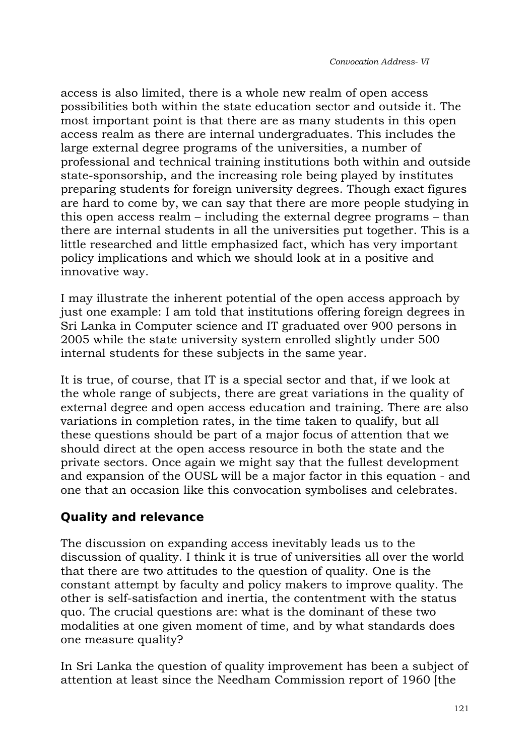access is also limited, there is a whole new realm of open access possibilities both within the state education sector and outside it. The most important point is that there are as many students in this open access realm as there are internal undergraduates. This includes the large external degree programs of the universities, a number of professional and technical training institutions both within and outside state-sponsorship, and the increasing role being played by institutes preparing students for foreign university degrees. Though exact figures are hard to come by, we can say that there are more people studying in this open access realm – including the external degree programs – than there are internal students in all the universities put together. This is a little researched and little emphasized fact, which has very important policy implications and which we should look at in a positive and innovative way.

I may illustrate the inherent potential of the open access approach by just one example: I am told that institutions offering foreign degrees in Sri Lanka in Computer science and IT graduated over 900 persons in 2005 while the state university system enrolled slightly under 500 internal students for these subjects in the same year.

It is true, of course, that IT is a special sector and that, if we look at the whole range of subjects, there are great variations in the quality of external degree and open access education and training. There are also variations in completion rates, in the time taken to qualify, but all these questions should be part of a major focus of attention that we should direct at the open access resource in both the state and the private sectors. Once again we might say that the fullest development and expansion of the OUSL will be a major factor in this equation - and one that an occasion like this convocation symbolises and celebrates.

# **Quality and relevance**

The discussion on expanding access inevitably leads us to the discussion of quality. I think it is true of universities all over the world that there are two attitudes to the question of quality. One is the constant attempt by faculty and policy makers to improve quality. The other is self-satisfaction and inertia, the contentment with the status quo. The crucial questions are: what is the dominant of these two modalities at one given moment of time, and by what standards does one measure quality?

In Sri Lanka the question of quality improvement has been a subject of attention at least since the Needham Commission report of 1960 [the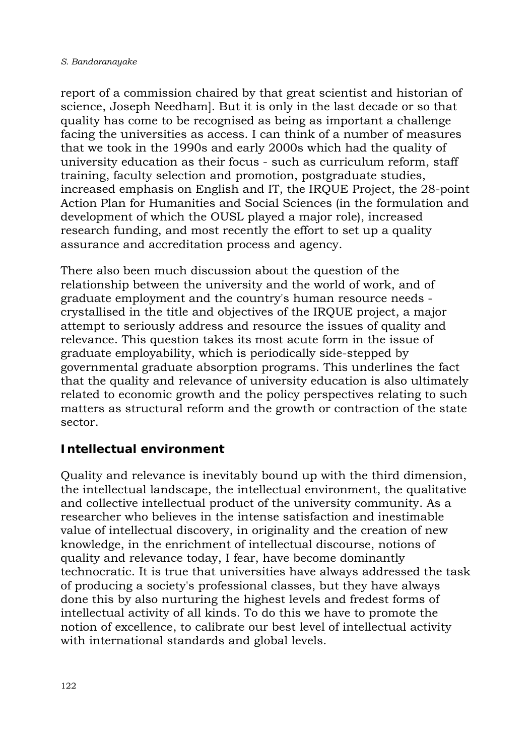report of a commission chaired by that great scientist and historian of science, Joseph Needham]. But it is only in the last decade or so that quality has come to be recognised as being as important a challenge facing the universities as access. I can think of a number of measures that we took in the 1990s and early 2000s which had the quality of university education as their focus - such as curriculum reform, staff training, faculty selection and promotion, postgraduate studies, increased emphasis on English and IT, the IRQUE Project, the 28-point Action Plan for Humanities and Social Sciences (in the formulation and development of which the OUSL played a major role), increased research funding, and most recently the effort to set up a quality assurance and accreditation process and agency.

There also been much discussion about the question of the relationship between the university and the world of work, and of graduate employment and the country's human resource needs crystallised in the title and objectives of the IRQUE project, a major attempt to seriously address and resource the issues of quality and relevance. This question takes its most acute form in the issue of graduate employability, which is periodically side-stepped by governmental graduate absorption programs. This underlines the fact that the quality and relevance of university education is also ultimately related to economic growth and the policy perspectives relating to such matters as structural reform and the growth or contraction of the state sector.

# **Intellectual environment**

Quality and relevance is inevitably bound up with the third dimension, the intellectual landscape, the intellectual environment, the qualitative and collective intellectual product of the university community. As a researcher who believes in the intense satisfaction and inestimable value of intellectual discovery, in originality and the creation of new knowledge, in the enrichment of intellectual discourse, notions of quality and relevance today, I fear, have become dominantly technocratic. It is true that universities have always addressed the task of producing a society's professional classes, but they have always done this by also nurturing the highest levels and fredest forms of intellectual activity of all kinds. To do this we have to promote the notion of excellence, to calibrate our best level of intellectual activity with international standards and global levels.